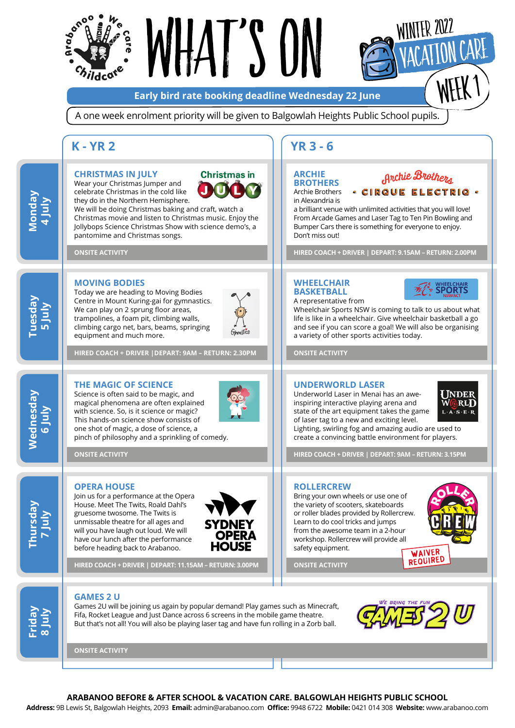

**ARABANOO BEFORE & AFTER SCHOOL & VACATION CARE. BALGOWLAH HEIGHTS PUBLIC SCHOOL** 

**Address:** 9B Lewis St, Balgowlah Heights, 2093 **Email:** [admin@arabanoo.com](mailto:admin%40arabanoo.com?subject=) **Office:** 9948 6722 **Mobile:** 0421 014 308 **Website:** [www.arabanoo.com](http://www.arabanoo.com)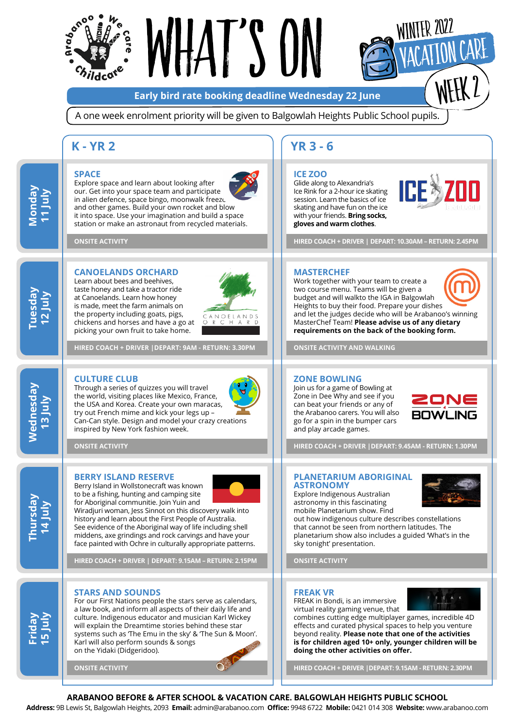

# $\vert\vert$   $\vert$   $\vert$   $\vert$   $\vert$   $\vert$

**Early bird rate booking deadline Wednesday 22 June**

A one week enrolment priority will be given to Balgowlah Heights Public School pupils.

### **K - YR 2 YR 3 - 6**

#### **SPACE**

**Tuesday 12 July**

**Monday 11 July**

**Wednesday 13 July**

Wednesday

**Thursday 14 July**

**Friday 15 July** Explore space and learn about looking after our. Get into your space team and participate in alien defence, space bingo, moonwalk freezu and other games. Build your own rocket and blow it into space. Use your imagination and build a space station or make an astronaut from recycled materials.

**ONSITE ACTIVITY**

#### **CANOELANDS ORCHARD**

Learn about bees and beehives, taste honey and take a tractor ride at Canoelands. Learn how honey is made, meet the farm animals on the property including goats, pigs, chickens and horses and have a go at picking your own fruit to take home.



**HIRED COACH + DRIVER |DEPART: 9AM - RETURN: 3.30PM** 

#### **CULTURE CLUB**

Through a series of quizzes you will travel the world, visiting places like Mexico, France, the USA and Korea. Create your own maracas, try out French mime and kick your legs up – Can-Can style. Design and model your crazy creations inspired by New York fashion week.

**ONSITE ACTIVITY**

#### **BERRY ISLAND RESERVE**

Berry Island in Wollstonecraft was known to be a fishing, hunting and camping site for Aboriginal communitie. Join Yuin and

Wiradjuri woman, Jess Sinnot on this discovery walk into history and learn about the First People of Australia. See evidence of the Aboriginal way of life including shell middens, axe grindings and rock carvings and have your face painted with Ochre in culturally appropriate patterns.

**HIRED COACH + DRIVER | DEPART: 9.15AM – RETURN: 2.15PM**

#### **STARS AND SOUNDS**

For our First Nations people the stars serve as calendars, a law book, and inform all aspects of their daily life and culture. Indigenous educator and musician Karl Wickey will explain the Dreamtime stories behind these star systems such as 'The Emu in the sky' & 'The Sun & Moon'. Karl will also perform sounds & songs on the Yidaki (Didgeridoo).

**ONSITE ACTIVITY**

#### **ICE ZOO**

Glide along to Alexandria's Ice Rink for a 2-hour ice skating session. Learn the basics of ice skating and have fun on the ice with your friends. **Bring socks, gloves and warm clothes**.



**HIRED COACH + DRIVER | DEPART: 10.30AM – RETURN: 2.45PM**

#### **MASTERCHEF**

Work together with your team to create a two course menu. Teams will be given a budget and will walkto the IGA in Balgowlah Heights to buy their food. Prepare your dishes and let the judges decide who will be Arabanoo's winning MasterChef Team! **Please advise us of any dietary requirements on the back of the booking form.**

**ONSITE ACTIVITY AND WALKING**

#### **ZONE BOWLING**

Join us for a game of Bowling at Zone in Dee Why and see if you can beat your friends or any of the Arabanoo carers. You will also go for a spin in the bumper cars and play arcade games.



**HIRED COACH + DRIVER |DEPART: 9.45AM - RETURN: 1.30PM** 

#### **PLANETARIUM ABORIGINAL ASTRONOMY**

Explore Indigenous Australian astronomy in this fascinating mobile Planetarium show. Find

out how indigenous culture describes constellations that cannot be seen from northern latitudes. The planetarium show also includes a guided 'What's in the sky tonight' presentation.

**ONSITE ACTIVITY**

#### **FREAK VR**

FREAK in Bondi, is an immersive virtual reality gaming venue, that F REAK

combines cutting edge multiplayer games, incredible 4D effects and curated physical spaces to help you venture beyond reality. **Please note that one of the activities is for children aged 10+ only, younger children will be doing the other activities on offer.**

**HIRED COACH + DRIVER |DEPART: 9.15AM - RETURN: 2.30PM** 

#### **ARABANOO BEFORE & AFTER SCHOOL & VACATION CARE. BALGOWLAH HEIGHTS PUBLIC SCHOOL**

**Address:** 9B Lewis St, Balgowlah Heights, 2093 **Email:** [admin@arabanoo.com](mailto:admin%40arabanoo.com?subject=) **Office:** 9948 6722 **Mobile:** 0421 014 308 **Website:** [www.arabanoo.com](http://www.arabanoo.com)